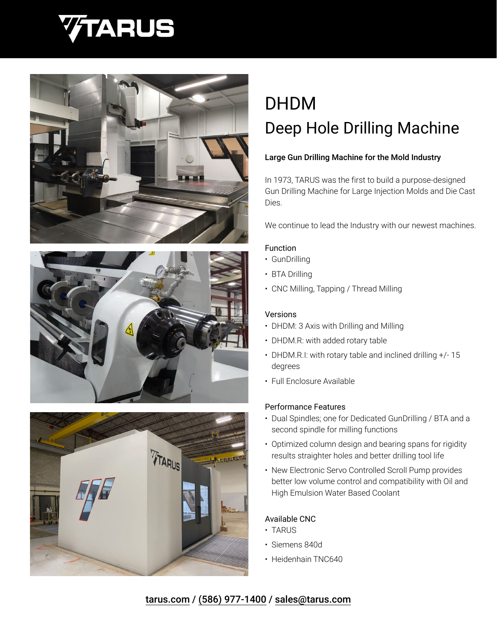







# DHDM Deep Hole Drilling Machine

# Large Gun Drilling Machine for the Mold Industry

In 1973, TARUS was the first to build a purpose-designed Gun Drilling Machine for Large Injection Molds and Die Cast Dies.

We continue to lead the Industry with our newest machines.

#### Function

- GunDrilling
- BTA Drilling
- CNC Milling, Tapping / Thread Milling

#### Versions

- DHDM: 3 Axis with Drilling and Milling
- DHDM.R: with added rotary table
- DHDM.R.I: with rotary table and inclined drilling +/- 15 degrees
- Full Enclosure Available

## Performance Features

- Dual Spindles; one for Dedicated GunDrilling / BTA and a second spindle for milling functions
- Optimized column design and bearing spans for rigidity results straighter holes and better drilling tool life
- New Electronic Servo Controlled Scroll Pump provides better low volume control and compatibility with Oil and High Emulsion Water Based Coolant

## Available CNC

- TARUS
- Siemens 840d
- Heidenhain TNC640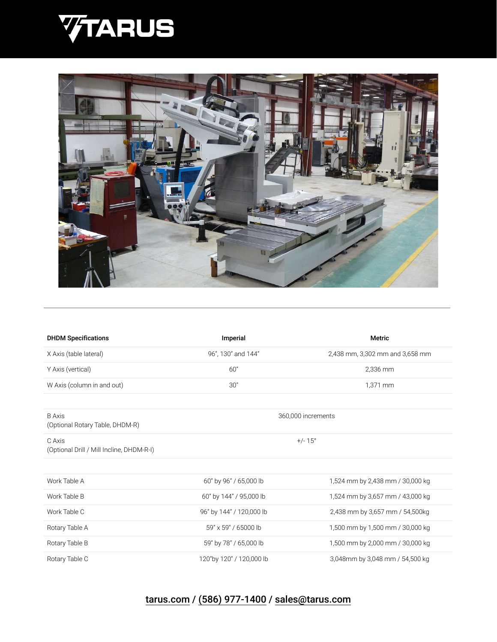



| <b>DHDM Specifications</b>                          | Imperial                 | <b>Metric</b>                    |
|-----------------------------------------------------|--------------------------|----------------------------------|
| X Axis (table lateral)                              | 96", 130" and 144"       | 2,438 mm, 3,302 mm and 3,658 mm  |
| Y Axis (vertical)                                   | 60"                      | 2,336 mm                         |
| W Axis (column in and out)                          | 30"                      | 1,371 mm                         |
|                                                     |                          |                                  |
| <b>B</b> Axis<br>(Optional Rotary Table, DHDM-R)    | 360,000 increments       |                                  |
| C Axis<br>(Optional Drill / Mill Incline, DHDM-R-I) | $+/- 15^{\circ}$         |                                  |
|                                                     |                          |                                  |
| Work Table A                                        | 60" by 96" / 65,000 lb   | 1,524 mm by 2,438 mm / 30,000 kg |
| Work Table B                                        | 60" by 144" / 95,000 lb  | 1,524 mm by 3,657 mm / 43,000 kg |
| Work Table C                                        | 96" by 144" / 120,000 lb | 2,438 mm by 3,657 mm / 54,500kg  |
| Rotary Table A                                      | 59" x 59" / 65000 lb     | 1,500 mm by 1,500 mm / 30,000 kg |
| Rotary Table B                                      | 59" by 78" / 65,000 lb   | 1,500 mm by 2,000 mm / 30,000 kg |
| Rotary Table C                                      | 120"by 120" / 120,000 lb | 3,048mm by 3,048 mm / 54,500 kg  |

# [tarus.com](https://tarus.com) / [\(586\) 977-1400](tel:5869771400) / [sales@tarus.com](mailto:sales@tarus.com?subject=TARUS%20Machine%20Inquiry)